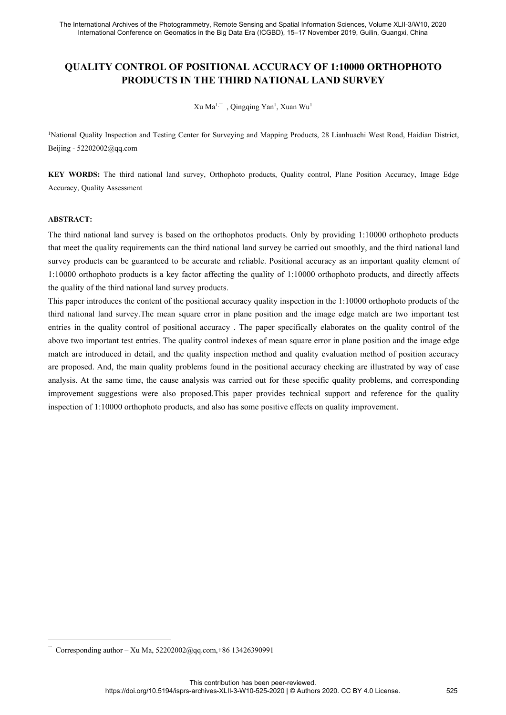# International Archives of the Photogrammetry, Remote Sensing and Spatial Information Sciences, Volume XLII-3/W10, 2020<br>International Conference on Geomatics in the Big Data Era (ICGBD), 15–17 November 2019, Guilin, Guangxi **PRODUCTS IN THE THIRD NATIONAL ACCURACY OF 1:10000 ORTHOPHOTO**<br> **PRODUCTS IN THE THIRD NATIONAL LAND SURVEY**<br>
THE THIRD NATIONAL LAND SURVEY<br>
THE THIRD NATIONAL LAND SURVEY<br>
THE THIRD NATIONAL LAND SURVEY metry, Remote Sensing and Spatial Informa<br>s in the Big Data Era (ICGBD), 15–17 Nove<br>**OSITIONAL ACCURACY OF**<br>**THE THIRD NATIONAL LA**<br>Xu Ma<sup>1,--</sup>, Qingqing Yan<sup>1</sup>, Xuan Wu<sup>1</sup><br>er for Surveying and Mapping Products, 2 note Sensing and Spatial Information Sciences, Volume Data Era (ICGBD), 15–17 November 2019, Guilin,<br> **NAL ACCURACY OF 1:10000 OF**<br> **HIRD NATIONAL LAND SURVE'**<br>
, Qingqing Yan<sup>1</sup>, Xuan Wu<sup>1</sup><br>
eying and Mapping Products, 28 Spatial Information Sciences, Volume XLII-3/V<br>D), 15–17 November 2019, Guilin, Guangxi, Ch<br>URACY OF 1:10000 ORTHOPH<br>IONAL LAND SURVEY<br>, Xuan Wu<sup>1</sup><br>ping Products, 28 Lianhuachi West Road, Ha The International Archives of the Photogrammetry, Remote Sensing and Spatial Information Sciences, Volume XLII-3W10, 2020<br>International Conference on Geomatics in the Big Data Era (ICGBD), 15–17 November 2019, Guillin, Gua memational contenties on Geomatics in the Big Data Elementation<br>
PRODUCTS IN THE THIRD<br>
Xu Ma<sup>1,--</sup> , Qingq<br>
<sup>1</sup>National Quality Inspection and Testing Center for Surveying a<br>
Beijing - 52202002@qq.com<br>
KEY WORDS: The thir **KEY WORDS:** The third national land survey, Orthophoto products, Quality control, Plane Position Accuracy, Image Edge<br>
Key WORDS: The third national land survey, Orthophoto products, Quality control, Plane Position Accura

**PRODUCTS IN THE T**<br>
Xu Ma<sup>1,-1</sup><br>
<sup>1</sup>National Quality Inspection and Testing Center for Sur-<br>
Beijing - 52202002@qq.com<br> **KEY WORDS:** The third national land survey, Orth<br>
Accuracy, Quality Assessment<br> **ABSTRACT:** 

### **ABSTRACT:**

The third national and Testing Center for Surveying and Mapping Products, 28 Lianhuachi West Road, Haidian District,<br>Beijing - 52202002@qq.com<br> **KEY WORDS:** The third national land survey, Orthophoto products, Quality cont National Quality Inspection and Testing Center for Surveying and Mapping Products, 28 Lianhuachi West Road, Haidian District,<br> **KEY WORDS:** The third national land survey, Orthophoto products, Quality control, Plane Positi Survey products can be disting Center for Surveying and Mapping Products, 28 Lianhuachi West Road, Haidian District,<br>Beijing - 52202002@qq.com<br>**KEY WORDS:** The third national land survey, Orthophoto products, Quality contr **IEV WORDS:** The third national land survey, Orthophoto products, Quality control, Plane Position Accuracy, Image Edge<br>Accuracy, Quality Assessment<br>**ABSTRACT:**<br>The third national land survey is based on the orthophotos pro **KEY WORDS:** The third national land survey, Orthophoto products, Quality control<br>Accuracy, Quality Assessment<br>**ABSTRACT:**<br>The third national land survey is based on the orthophotos products. Only by pr<br>that meet the quali **EXEY WORDS:** The third national land survey, Orthophoto products, Quality control, Plane Position Accuracy, Image Edge<br>Accuracy, Quality Assessment<br>**ABSTRACT:**<br>The third national land survey is based on the orthophotos pr ACCUTE ACCUTE ACCUTE THE MEAN ASSESSIME ACCUTE THE third national land survey is based on the orthophotos products. Only by providing 1:10000 orthophoto products that meet the quality requirements can the third national la

ABSTRACT:<br>The third national land survey is based on the orthophotos products. Only by providing 1:10000 orthophoto products<br>that meet the quality requirements can the third national land survey be carried out smoothly, an **ABSTRACT:**<br>The third national land survey is based on the orthophotos products. Only by providing 1:10000 orthophoto products<br>that meet the quality requirements can the third national land survey be carried out smoothly, The third national land survey is based on the orthophotos products. Only by providing 1:10000 orthophoto products that meet the quality requirements can the third national land survey be carried out smoothly, and the thir that meet the quality requirements can the third national land survey be carried out smoothly, and the third national land<br>survey products can be guaranteed to be accurate and reliable. Positional accuracy as an important survey products can be guaranteed to be accurate and reliable. Positional accuracy as an important quality element of 1:10000 orthophoto products is a key factor affecting the quality of 1:10000 orthophoto products, and di 1:10000 orthophoto products is a key factor affecting the quality of 1:10000 orthophoto products, and directly affects<br>the quality of the third national land survey products.<br>This paper introduces the content of the positi the quality of the third national land survey products.<br>This paper introduces the content of the positional accuracy quality inspection in the 1:10000 orthophoto products of the<br>third national land survey.The mean square e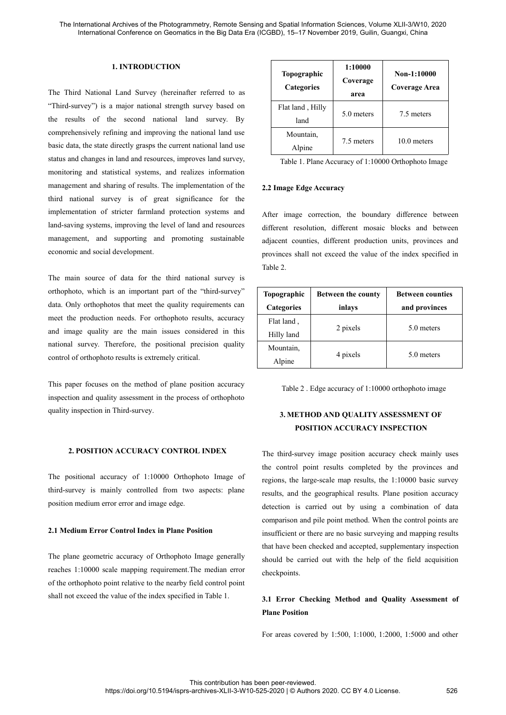### **1. INTRODUCTION**

The Third National Land Survey (hereinafter referred to as "Third-survey") is a major national strength survey based on the results of the second national land survey. By comprehensively refining and improving the national land use basic data, the state directly grasps the current national land use status and changes in land and resources, improves land survey, monitoring and statistical systems, and realizes information management and sharing of results. The implementation of the third national survey is of great significance for the implementation of stricter farmland protection systems and land-saving systems, improving the level of land and resources management, and supporting and promoting sustainable economic and social development.

The main source of data for the third national survey is orthophoto, which is an important part of the "third-survey" data. Only orthophotos that meet the quality requirements can meet the production needs. For orthophoto results, accuracy and image quality are the main issues considered in this national survey. Therefore, the positional precision quality control of orthophoto results is extremely critical.

This paper focuses on the method of plane position accuracy inspection and quality assessment in the process of orthophoto quality inspection in Third-survey.

### **2. POSITION ACCURACY CONTROL INDEX**

The positional accuracy of 1:10000 Orthophoto Image of third-survey is mainly controlled from two aspects: plane position medium error error and image edge.

### **2.1 Medium Error Control Index in Plane Position**

The plane geometric accuracy of Orthophoto Image generally reaches 1:10000 scale mapping requirement.The median error of the orthophoto point relative to the nearby field control point shall not exceed the value of the index specified in Table 1.

| Flat land, Hilly<br>5.0 meters<br>7.5 meters<br>land |
|------------------------------------------------------|
|                                                      |
| Mountain,<br>$10.0$ meters<br>7.5 meters<br>Alpine   |
| Table 1. Plane Accuracy of 1:10000 Orthophoto Image  |

2.0 meters<br>
Mountain,<br>
Alpine<br>
7.5 meters<br>
7.5 meters<br>
7.5 meters<br>
7.6 meters<br>
7.5 meters<br>
7.6 meters<br>
7.6 meters<br>
7.6 meters<br>
7.6 meters<br>
7.6 meters<br>
7.6 meters<br>
7.6 meters<br>
7.6 meters<br>
7.6 meters<br>
2.2 Image Edge Accuracy Mountain,<br>
Alpine 7.5 meters 10.0 meters<br>
Table 1. Plane Accuracy of 1:10000 Orthophoto Image<br>
2.2 Image Edge Accuracy<br>
After image correction, the boundary difference between<br>
different resolution, different mosaic blocks Alpine 7.5 meters 10.0 meters<br>
Table 1. Plane Accuracy of 1:10000 Orthophoto Image<br>
2.2 Image Edge Accuracy<br>
After image correction, the boundary difference between<br>
different resolution, different mosaic blocks and betwee Table 1. Plane Accuracy of 1:10000 Or<br>
2.2 Image Edge Accuracy<br>
After image correction, the boundary of<br>
different resolution, different mosaic blog<br>
adjacent counties, different production un<br>
provinces shall not exceed t **Between**<br> **Between**<br> **Between**<br> **Between**<br> **Between**<br> **Between**<br> **Between**<br> **Between**<br> **Between**<br> **Between**<br> **Between**<br> **Between**<br> **Between**<br> **Between**<br> **Between**<br> **Between**<br> **Between counties<br>
<b>Between counties<br>
and prov** difference between<br>locks and between<br>nits, provinces and<br>e index specified in<br>**Between counties**<br>and provinces<br>5.0 meters

| After image correction, the boundary difference between<br>different resolution, different mosaic blocks and between<br>adjacent counties, different production units, provinces and<br>provinces shall not exceed the value of the index specified in<br>Table 2. |                           |                         |  |
|--------------------------------------------------------------------------------------------------------------------------------------------------------------------------------------------------------------------------------------------------------------------|---------------------------|-------------------------|--|
| <b>Topographic</b>                                                                                                                                                                                                                                                 | <b>Between the county</b> | <b>Between counties</b> |  |
| <b>Categories</b>                                                                                                                                                                                                                                                  | inlays                    | and provinces           |  |
| Flat land,                                                                                                                                                                                                                                                         | 2 pixels                  | 5.0 meters              |  |
| Hilly land                                                                                                                                                                                                                                                         |                           |                         |  |
| Mountain,                                                                                                                                                                                                                                                          | 4 pixels                  | 5.0 meters              |  |
| Alpine                                                                                                                                                                                                                                                             |                           |                         |  |
| Table 2. Edge accuracy of 1:10000 orthophoto image<br>3. METHOD AND QUALITY ASSESSMENT OF                                                                                                                                                                          |                           |                         |  |
|                                                                                                                                                                                                                                                                    |                           |                         |  |

## **3. METHOD AND QUALITY ASSESSMENT OF POSITION ACCURACY INSPECTION**

The third-survey image position accuracy check mainly uses the control point results completed by the provinces and regions, the large-scale map results, the 1:10000 basic survey results, and the geographical results. Plane position accuracy detection is carried out by using a combination of data comparison and pile point method. When the control points are insufficient or there are no basic surveying and mapping results that have been checked and accepted, supplementary inspection should be carried out with the help of the field acquisition checkpoints.

### **3.1 Error Checking Method and Quality Assessment of Plane Position**

For areas covered by 1:500, 1:1000, 1:2000, 1:5000 and other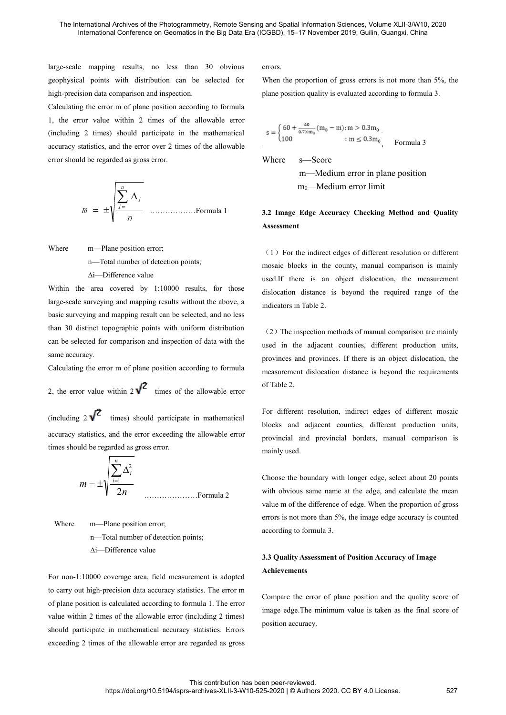The International Archives of the Photogrammetry, Remote Sensing and Spatial Information International Conference on Geomatics in the Big Data Era (ICGBD), 15–17 November<br>large-scale mapping results, no less than 30 obviou The International Archives of the Photogrammetry, Remote Sensing and Spatial Information Scien<br>International Conference on Geomatics in the Big Data Era (ICGBD), 15–17 November 2019<br>Iarge-scale mapping results, no less tha The International Archives of the Photogrammetry, Remote Sensing and<br>International Conference on Geomatics in the Big Data Era (ICGBI<br>Iarge-scale mapping results, no less than 30 obvious errors<br>geophysical points with dist

The International Archives of the Photogrammetry, Remote Sensing and Spatial Information International Conference on Geomatics in the Big Data Era (ICGBD), 15–17 November<br>large-scale mapping results, no less than 30 obvio The International Archives of the Photogrammetry, Remote Sensing and Spatial Information Scin International Conference on Geomatics in the Big Data Era (ICGBD), 15–17 November 20<br>
large-scale mapping results, no less than The International Archives of the Photogrammetry, Remote Sensing and Spatial Inform<br>
International Conference on Geomatics in the Big Data Era (ICGBD), 15–17 Nove<br>
Iarge-scale mapping results, no less than 30 obvious<br>
geo International Conference on Geomatics in the Big Data Era (ICGBD), 15–17 Novemb<br>
large-scale mapping results, no less than 30 obvious errors.<br>
geophysical points with distribution can be selected for When the proportion o large-scale mapping results, no less than 30 obvious error geophysical points with distribution can be selected for Willey-precision data comparison and inspection. place position according to formula 1, the error value w e error m of plane position according to formula<br>
value within 2 times of the allowable error<br>
times) should participate in the mathematical<br>
regarded as gross error.<br>
Where  $s$ —Score<br>
mo—Medium<br>  $m_0$ —Medium<br>  $m_1$ <br>  $\frac{$ 

nmi <sup>i</sup> Where m—Plane position error; n—Total number of detection points; ∆i—Difference value

 $m = \pm \sqrt{\frac{\sum_{i=1}^{n} \Delta_i}{n}}$  mo-Medium<br>  $m_0$ -Medium<br>
Where m-Plane position error;<br>
n-Total number of detection points;<br>
and the area covered by 1:10000 results, for those used.If there is an objection error;<br>
Nation the a large-scale surveying and mapping results without the above, a basic surveying and mapping result can be selected, and no less  $\begin{array}{ll}\n & \text{M} & \text{M} \\
 \hline\n & \text{M} & \text{M} \\
 & \text{M} & \text{M} \\
 & \text{M} & \text{M} \\
 \end{array}$   $\begin{array}{ll}\n & \text{M} & \text{M} \\
 \hline\n & \text{M} & \text{M} \\
 & \text{M} & \text{M} \\
 \end{array}$   $\begin{array}{ll}\n & \text{M} & \text{M} \\
 \hline\n & \text{M} & \text{M} \\
 \end{array}$   $\begin{array}{ll}\n & \text{M} & \text{M} \\
 \hline\n & \text{M} & \text{M} \\
 \end{array}$ Expendite the main experiment where<br>
main experiment the indirect edges in the county<br>
calce the main expection of detection points;<br>
calce the main expective with the area covered by 1:10000 results, for those<br>
large-scal Where m—Plane position error;<br>n—Total number of detection p<br> $\Delta i$ —Difference value<br>Within the area covered by 1:10000<br>large-scale surveying and mapping results v<br>basic surveying and mapping result can be s<br>than 30 distinc n—Total number of detection points;<br>  $\Delta i$ —Difference value<br>
Within the area covered by 1:10000 results, for those<br>
large-scale surveying and mapping result can be selected, and no less<br>
basic surveying and mapping result 2. The error diff there is an objection the area covered by 1:10000 results, for those dislocation distance is be allowed. The error value and mapping results without the above, a basic surveying and mapping result can be Example show indicators in Table 2.<br>
basic surveying and mapping result can be selected, and no less<br>
than 30 distinct topographic points with uniform distribution<br>
can be selected for comparison and inspection of data wi

than 30 distinct topographic points with uniform distribution<br>
can be selected for comparison and inspection of data with the<br>
same accuracy.<br>
Calculating the error m of plane position according to formula<br>
2, the error v can be selected for comparison and inspection of data with the<br>same accuracy.<br>Calculating the error m of plane position according to formula<br>me<br>2, the error value within  $2\sqrt{2}$  times of the allowable error<br>(including  $2$ ncluding 2  $\sqrt{2}$  times) should participate in mathematical<br>
teuracy statistics, and the error exceeding the allowable error<br>
mes should be regarded as gross error.<br>
m<br>  $m = \pm \sqrt{\sum_{i=1}^{n} \Delta_i^2}$  C<br>  $m = \pm \sqrt{\sum_{i=1}^{n} \Delta_i^2}$ 

*m n i i* 2 1 n—Total number of detection points; ∆i—Difference value

 $m = \pm \sqrt{\frac{\sum_{i=1}^{n} \Delta_i^2}{2n}}$  Choose the boundary with obvious same name value m of the difference<br>
Where m—Plane position error;<br>
n—Total number of detection points;<br>  $\Delta i$ —Difference value and the difference errors is n  $m = \pm \sqrt{\frac{1}{2n}}$ <br>
Choose the boundary with lon<br>
with obvious same name at the<br>
due m of the difference of ed<br>
errors is not more than 5%, the<br>
n—Total number of detection points;<br>  $\Delta i$ —Difference value<br>
For non-1:10000 c *a* with obvious same name a<br>value m of the difference of<br>errors is not more than 5%,<br>n—Plane position error;<br>n—Total number of detection points;<br> $\Delta i$ —Difference value<br> $\Delta i$ <br>For non-1:10000 coverage area, field measureme value m of the difference c<br>
errors is not more than 5%<br>
n—Total number of detection points;<br>
according to formula 3.<br>
Ai—Difference value<br>
3.3 Quality Assessment of<br>
For non-1:10000 coverage area, field measurement is ado Where m—Plane position error;<br>
n—Total number of detection points;<br>  $\Delta i$ —Difference value<br>
Social accuracy statistics. The error m<br>
of plane position is calculated according to formula 1. The error m<br>
of plane position i n—Total number of detection points;<br>
according to formula 3.<br>
Ai—Difference value<br>
3.3 Quality Assessment of<br>
For non-1:10000 coverage area, field measurement is adopted<br>
to carry out high-precision data accuracy statistic

errors.<br>CGBD), 15–17 November 2019, Guilin, Guangxi, China<br>errors.<br>When the proportion of gross errors is not more than 5%, the<br>plane position quality is evaluated according to formula 3. g and Spatial Information Sciences, Volume XLII-3/W10, 2020<br>CGBD), 15–17 November 2019, Guilin, Guangxi, China<br>errors.<br>When the proportion of gross errors is not more than 5%, the<br>plane position quality is evaluated accor ngxi, China<br>t more than 5%, the<br>g to formula 3.<br>Formula 3<br>: position roportion of gross errors is not more than 5%, the<br>
on quality is evaluated according to formula 3.<br>  $\frac{40}{6.7 \times m_0} (m_0 - m) : m > 0.3 m_0$ <br>  $\therefore m \le 0.3 m_0$ <br>  $\therefore m \le 0.3 m_0$ <br>
Formula 3<br>
S—Score<br>
m—Medium error in plane positi proportion of gross errors is not more than 5%, the<br>
on quality is evaluated according to formula 3.<br>  $\frac{40}{0.7 \times m_0} (m_0 - m) : m > 0.3 m_0$ <br>  $\therefore m \le 0.3 m_0$ <br>
Formula 3<br>
S—Score<br>
m—Medium error in plane position<br>
m<sub>0</sub>—Medium

CGBD), 15–17 November 2019, Guilin, Guangxi, China  
\ncGBD), 15–17 November 2019, Guilin, Guangxi, China  
\nprrrors.  
\nWhen the proportion of gross errors is not more than 5  
\nplane position quality is evaluated according to formula 3  
\n
$$
s = \begin{cases}\n60 + \frac{40}{0.7 \times m_0} (m_0 - m) : m > 0.3 m_0 \\
1100 \quad \text{in } \leq 0.3 m_0\n\end{cases}
$$
\n
$$
s = \text{Score}
$$
\n
$$
m = \text{Median error in plane position}
$$
\n
$$
m_0 = \text{Median error limit}
$$

# $s = \begin{cases} 60 + \frac{40}{0.7 \times m_0} (m_0 - m) : m > 0.3 m_0 \\ 100 & : m \le 0.3 m_0 \end{cases}$  Formula 3<br>Where s—Score<br>m—Medium error in plane position<br>m<sub>0</sub>—Medium error limit<br>3.2 Image Edge Accuracy Checking Method and Quality<br>Assessment **Assessment**

(100 :  $m \le 0.3m_0$  Formula 3<br>Where s—Score<br>m—Medium error in plane position<br>m<sub>0</sub>—Medium error limit<br>3.2 Image Edge Accuracy Checking Method and Quality<br>Assessment<br>(1) For the indirect edges of different resolution or dif Where s—Score<br>m—Medium error in plane position<br>m<sub>0</sub>—Medium error limit<br>3.2 Image Edge Accuracy Checking Method and Quality<br>Assessment<br>(1) For the indirect edges of different resolution or different<br>mosaic blocks in the cou m—Medium error in plane position<br>m<sub>0</sub>—Medium error limit<br>3.2 Image Edge Accuracy Checking Method and Quality<br>Assessment<br>(1) For the indirect edges of different resolution or different<br>mosaic blocks in the county, manual co  $m_0$ —Medium error limit<br>3.2 Image Edge Accuracy Checking Method and Quality<br>Assessment<br>(1) For the indirect edges of different resolution or different<br>mosaic blocks in the county, manual comparison is mainly<br>used.If ther 3.2 Image Edge Accuracy Checking Method and Q<br>
Assessment<br>
(1) For the indirect edges of different resolution or di<br>
mosaic blocks in the county, manual comparison is t<br>
used.If there is an object dislocation, the measur<br> Assessment<br>
(1) For the indirect edges of different resolution or different<br>
mosaic blocks in the county, manual comparison is mainly<br>
used.If there is an object dislocation, the measurement<br>
dislocation distance is beyond (1) For the indirect edges of different resolution or different<br>mosaic blocks in the county, manual comparison is mainly<br>used.If there is an object dislocation, the measurement<br>dislocation distance is beyond the required

mosaic blocks in the county, manual comparison is mainly used.<br>If there is an object dislocation, the measurement dislocation distance is beyond the required range of the indicators in Table 2.<br>(2) The inspection methods mosaic blocks in the county, manual comparison is mainly used.<br>If there is an object dislocation, the measurement dislocation distance is beyond the required range of the indicators in Table 2.<br>
(2) The inspection methods used.If there is an object dislocation, the dislocation distance is beyond the required indicators in Table 2.<br>
(2) The inspection methods of manual comparation in the adjacent counties, different provinces and provinces. For different resolution, indirect edges of different production units,<br>provinces and provinces. If there is an object dislocation, the<br>measurement dislocation distance is beyond the requirements<br>of Table 2.<br>For different (2) The inspection methods of manual comparison are mainly used in the adjacent counties, different production units, provinces and provinces. If there is an object dislocation, the measurement dislocation distance is beyo (2) The inspection methods of manual comparison are mainly used in the adjacent counties, different production units, provinces and provinces. If there is an object dislocation, the measurement dislocation distance is beyo used in the adjacent counties, different provinces and provinces. If there is an object<br>measurement dislocation distance is beyond<br>of Table 2.<br>For different resolution, indirect edges of<br>blocks and adjacent counties, diffe

The requirements<br>
of Table 2.<br>
For different resolution, indirect edges of different mosaic<br>
blocks and adjacent counties, different production units,<br>
provincial and provincial borders, manual comparison is<br>
mainly used.<br>

with obvious same name at the edge, and calculate the mean Choose the boundary with longer edge, select about 20 points E<br>
times of the allowable error<br>
uld participate in mathematical<br>
or exceeding the allowable error<br>
or different resolution,<br>
blocks and adjacent co<br>
provincial and provincia<br>
ses error.<br>
mainly used.<br>
Choose the boundary of Table 2.<br>For different resolution, indirect edges of different mosaic<br>blocks and adjacent counties, different production units,<br>provincial and provincial borders, manual comparison is<br>mainly used.<br>Choose the boundary wi For different resolution, indirect edges of different mosaic<br>blocks and adjacent counties, different production units,<br>provincial and provincial borders, manual comparison is<br>mainly used.<br>Choose the boundary with longer ed For different resolution, indirect edges of different mosaic<br>blocks and adjacent counties, different production units,<br>provincial and provincial borders, manual comparison is<br>mainly used.<br>Choose the boundary with longer ed blocks and adjacent counties, different production un<br>provincial and provincial borders, manual comparisor<br>mainly used.<br>Choose the boundary with longer edge, select about 20 pc<br>with obvious same name at the edge, and calcu mainly used.<br>
Choose the boundary with longer edge, select about 20 points<br>
with obvious same name at the edge, and calculate the mean<br>
value m of the difference of edge. When the proportion of gross<br>
errors is not more th with obvious same name at the edge, and calculate the mean<br>value m of the difference of edge. When the proportion of gross<br>errors is not more than 5%, the image edge accuracy is counted<br>according to formula 3.<br>3.3 Quality value m of the difference of edge. When the proportion of gross<br>errors is not more than 5%, the image edge accuracy is counted<br>according to formula 3.<br>3.3 Quality Assessment of Position Accuracy of Image<br>Achievements<br>Compa

## **Achievements**

errors is not more than 5%, the image edge according to formula 3.<br>3.3 Quality Assessment of Position Accuracy<br>Achievements<br>Compare the error of plane position and the<br>image edge. The minimum value is taken as th<br>position